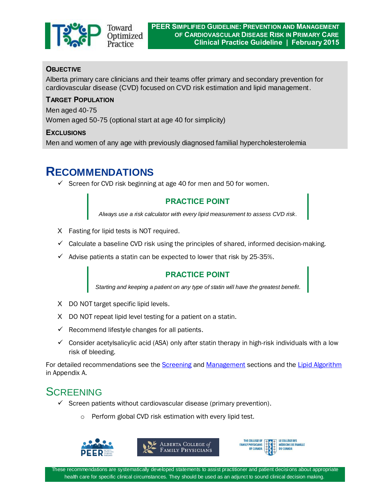

### **OBJECTIVE**

Alberta primary care clinicians and their teams offer primary and secondary prevention for cardiovascular disease (CVD) focused on CVD risk estimation and lipid management.

#### **TARGET POPULATION**

Men aged 40-75 Women aged 50-75 (optional start at age 40 for simplicity)

#### **EXCLUSIONS**

Men and women of any age with previously diagnosed familial hypercholesterolemia

# **RECOMMENDATIONS**

 $\checkmark$  Screen for CVD risk beginning at age 40 for men and 50 for women.

### **PRACTICE POINT**

*Always use a risk calculator with every lipid measurement to assess CVD risk.*

- X Fasting for lipid tests is NOT required.
- $\checkmark$  Calculate a baseline CVD risk using the principles of shared, informed decision-making.
- $\checkmark$  Advise patients a statin can be expected to lower that risk by 25-35%.

#### **PRACTICE POINT**

*Starting and keeping a patient on any type of statin will have the greatest benefit.*

- X DO NOT target specific lipid levels.
- X DO NOT repeat lipid level testing for a patient on a statin.
- $\checkmark$  Recommend lifestyle changes for all patients.
- $\checkmark$  Consider acetylsalicylic acid (ASA) only after statin therapy in high-risk individuals with a low risk of bleeding.

For detailed recommendations see the [Screening](#page-0-0) an[d Management](#page-1-0) sections and the [Lipid Algorithm](#page-15-0) in Appendix A.

# <span id="page-0-0"></span>**SCREENING**

- $\checkmark$  Screen patients without cardiovascular disease (primary prevention).
	- o Perform global CVD risk estimation with every lipid test.



These recommendations are systematically developed statements to assist practitioner and patient decisions about appropriate health care for specific clinical circumstances. They should be used as an adjunct to sound clinical decision making.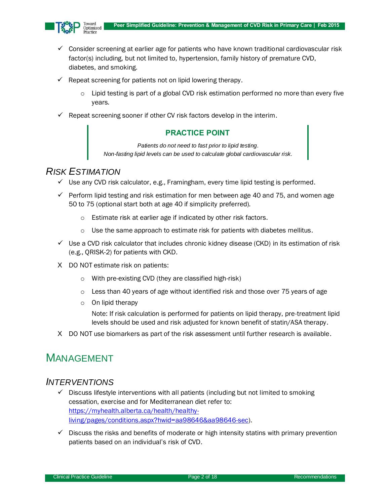

- $\checkmark$  Consider screening at earlier age for patients who have known traditional cardiovascular risk factor(s) including, but not limited to, hypertension, family history of premature CVD, diabetes, and smoking.
- $\checkmark$  Repeat screening for patients not on lipid lowering therapy.
	- $\circ$  Lipid testing is part of a global CVD risk estimation performed no more than every five years.
- $\checkmark$  Repeat screening sooner if other CV risk factors develop in the interim.

#### **PRACTICE POINT**

*Patients do not need to fast prior to lipid testing. Non-fasting lipid levels can be used to calculate global cardiovascular risk.*

### *RISK ESTIMATION*

- $\checkmark$  Use any CVD risk calculator, e.g., Framingham, every time lipid testing is performed.
- $\checkmark$  Perform lipid testing and risk estimation for men between age 40 and 75, and women age 50 to 75 (optional start both at age 40 if simplicity preferred).
	- o Estimate risk at earlier age if indicated by other risk factors.
	- $\circ$  Use the same approach to estimate risk for patients with diabetes mellitus.
- $\checkmark$  Use a CVD risk calculator that includes chronic kidney disease (CKD) in its estimation of risk (e.g., QRISK-2) for patients with CKD.
- X DO NOT estimate risk on patients:
	- o With pre-existing CVD (they are classified high-risk)
	- $\circ$  Less than 40 years of age without identified risk and those over 75 years of age
	- $\circ$  On lipid therapy

Note: If risk calculation is performed for patients on lipid therapy, pre-treatment lipid levels should be used and risk adjusted for known benefit of statin/ASA therapy.

X DO NOT use biomarkers as part of the risk assessment until further research is available.

## <span id="page-1-0"></span>MANAGEMENT

### *INTERVENTIONS*

- $\checkmark$  Discuss lifestyle interventions with all patients (including but not limited to smoking cessation, exercise and for Mediterranean diet refer to: [https://myhealth.alberta.ca/health/healthy](https://myhealth.alberta.ca/health/healthy-living/pages/conditions.aspx?hwid=aa98646&aa98646-sec)[living/pages/conditions.aspx?hwid=aa98646&aa98646-sec\)](https://myhealth.alberta.ca/health/healthy-living/pages/conditions.aspx?hwid=aa98646&aa98646-sec).
- $\checkmark$  Discuss the risks and benefits of moderate or high intensity statins with primary prevention patients based on an individual's risk of CVD.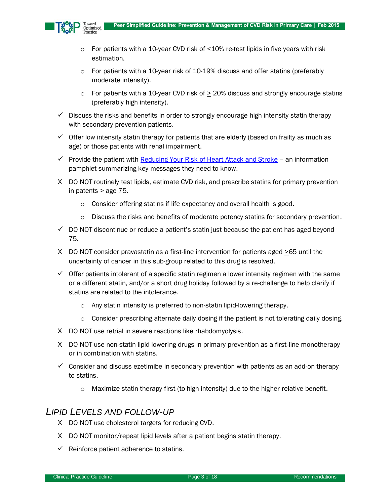

- o For patients with a 10-year CVD risk of <10% re-test lipids in five years with risk estimation.
- $\circ$  For patients with a 10-year risk of 10-19% discuss and offer statins (preferably moderate intensity).
- $\circ$  For patients with a 10-year CVD risk of  $>$  20% discuss and strongly encourage statins (preferably high intensity).
- $\checkmark$  Discuss the risks and benefits in order to strongly encourage high intensity statin therapy with secondary prevention patients.
- $\checkmark$  Offer low intensity statin therapy for patients that are elderly (based on frailty as much as age) or those patients with renal impairment.
- $\checkmark$  Provide the patient with [Reducing Your Risk of Heart Attack and Stroke](http://www.topalbertadoctors.org/file/reducing-cvd-risk-patient-handout.pdf) an information pamphlet summarizing key messages they need to know.
- X DO NOT routinely test lipids, estimate CVD risk, and prescribe statins for primary prevention in patents > age 75.
	- o Consider offering statins if life expectancy and overall health is good.
	- o Discuss the risks and benefits of moderate potency statins for secondary prevention.
- $\checkmark$  DO NOT discontinue or reduce a patient's statin just because the patient has aged beyond 75.
- X DO NOT consider pravastatin as a first-line intervention for patients aged  $\geq$  65 until the uncertainty of cancer in this sub-group related to this drug is resolved.
- $\checkmark$  Offer patients intolerant of a specific statin regimen a lower intensity regimen with the same or a different statin, and/or a short drug holiday followed by a re-challenge to help clarify if statins are related to the intolerance.
	- o Any statin intensity is preferred to non-statin lipid-lowering therapy.
	- o Consider prescribing alternate daily dosing if the patient is not tolerating daily dosing.
- X DO NOT use retrial in severe reactions like rhabdomyolysis.
- X DO NOT use non-statin lipid lowering drugs in primary prevention as a first-line monotherapy or in combination with statins.
- $\checkmark$  Consider and discuss ezetimibe in secondary prevention with patients as an add-on therapy to statins.
	- o Maximize statin therapy first (to high intensity) due to the higher relative benefit.

### *LIPID LEVELS AND FOLLOW-UP*

- X DO NOT use cholesterol targets for reducing CVD.
- X DO NOT monitor/repeat lipid levels after a patient begins statin therapy.
- $\checkmark$  Reinforce patient adherence to statins.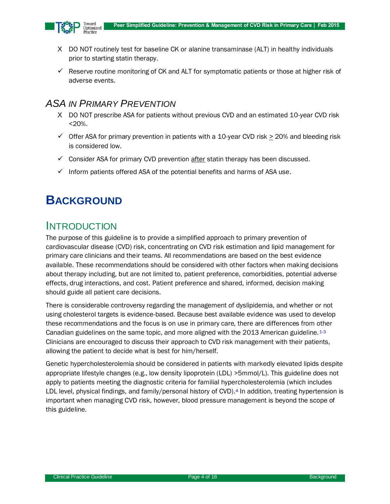

- X DO NOT routinely test for baseline CK or alanine transaminase (ALT) in healthy individuals prior to starting statin therapy.
- $\checkmark$  Reserve routine monitoring of CK and ALT for symptomatic patients or those at higher risk of adverse events.

## *ASA IN PRIMARY PREVENTION*

- X DO NOT prescribe ASA for patients without previous CVD and an estimated 10-year CVD risk <20%.
- $\checkmark$  Offer ASA for primary prevention in patients with a 10-year CVD risk  $\geq$  20% and bleeding risk is considered low.
- $\checkmark$  Consider ASA for primary CVD prevention after statin therapy has been discussed.
- $\checkmark$  Inform patients offered ASA of the potential benefits and harms of ASA use.

# **BACKGROUND**

## INTRODUCTION

The purpose of this guideline is to provide a simplified approach to primary prevention of cardiovascular disease (CVD) risk, concentrating on CVD risk estimation and lipid management for primary care clinicians and their teams. All recommendations are based on the best evidence available. These recommendations should be considered with other factors when making decisions about therapy including, but are not limited to, patient preference, comorbidities, potential adverse effects, drug interactions, and cost. Patient preference and shared, informed, decision making should guide all patient care decisions.

There is considerable controversy regarding the management of dyslipidemia, and whether or not using cholesterol targets is evidence-based. Because best available evidence was used to develop these recommendations and the focus is on use in primary care, there are differences from other Canadian guidelines on the same topic, and more aligned with the 2013 American guideline.<sup>[1-](#page-12-0)[3](#page-12-1)</sup> Clinicians are encouraged to discuss their approach to CVD risk management with their patients, allowing the patient to decide what is best for him/herself.

Genetic hypercholesterolemia should be considered in patients with markedly elevated lipids despite appropriate lifestyle changes (e.g., low density lipoprotein (LDL) >5mmol/L). This guideline does not apply to patients meeting the diagnostic criteria for familial hypercholesterolemia (which includes LDL level, physical findings, and family/personal history of CVD).<sup>[4](#page-12-2)</sup> In addition, treating hypertension is important when managing CVD risk, however, blood pressure management is beyond the scope of this guideline.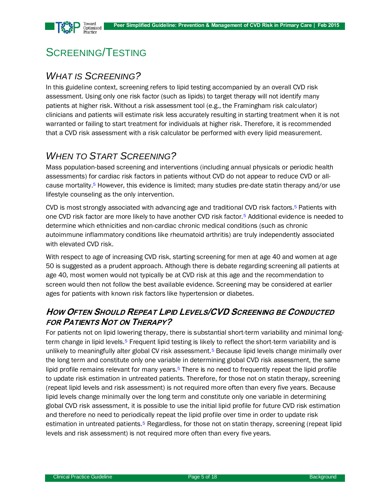

# SCREENING/TESTING

## *WHAT IS SCREENING?*

In this guideline context, screening refers to lipid testing accompanied by an overall CVD risk assessment. Using only one risk factor (such as lipids) to target therapy will not identify many patients at higher risk. Without a risk assessment tool (e.g., the Framingham risk calculator) clinicians and patients will estimate risk less accurately resulting in starting treatment when it is not warranted or failing to start treatment for individuals at higher risk. Therefore, it is recommended that a CVD risk assessment with a risk calculator be performed with every lipid measurement.

## *WHEN TO START SCREENING?*

Mass population-based screening and interventions (including annual physicals or periodic health assessments) for cardiac risk factors in patients without CVD do not appear to reduce CVD or allcause mortalit[y.](#page-12-3)<sup>5</sup> However, this evidence is limited; many studies pre-date statin therapy and/or use lifestyle counseling as the only intervention.

CVD is most strongly associated with advancing age and traditional CVD risk factors[.](#page-12-3)<sup>5</sup> Patients with one CVD risk factor are more likely to have another CVD risk factor.[5](#page-12-3) Additional evidence is needed to determine which ethnicities and non-cardiac chronic medical conditions (such as chronic autoimmune inflammatory conditions like rheumatoid arthritis) are truly independently associated with elevated CVD risk.

With respect to age of increasing CVD risk, starting screening for men at age 40 and women at age 50 is suggested as a prudent approach. Although there is debate regarding screening all patients at age 40, most women would not typically be at CVD risk at this age and the recommendation to screen would then not follow the best available evidence. Screening may be considered at earlier ages for patients with known risk factors like hypertension or diabetes.

## **HOW OFTEN SHOULD REPEAT LIPID LEVELS/CVD SCREENING BE CONDUCTED FOR PATIENTS NOT ON THERAPY?**

For patients not on lipid lowering therapy, there is substantial short-term variability and minimal long-term change in lipid levels.<sup>[5](#page-12-3)</sup> Frequent lipid testing is likely to reflect the short-term variability and is unlikely to meaningfully alter global CV risk assessmen[t.](#page-12-3)<sup>5</sup> Because lipid levels change minimally over the long term and constitute only one variable in determining global CVD risk assessment, the same lipid profile remains relevant for many years.<sup>[5](#page-12-3)</sup> There is no need to frequently repeat the lipid profile to update risk estimation in untreated patients. Therefore, for those not on statin therapy, screening (repeat lipid levels and risk assessment) is not required more often than every five years. Because lipid levels change minimally over the long term and constitute only one variable in determining global CVD risk assessment, it is possible to use the initial lipid profile for future CVD risk estimation and therefore no need to periodically repeat the lipid profile over time in order to update risk estimation in untreated patients.<sup>[5](#page-12-3)</sup> Regardless, for those not on statin therapy, screening (repeat lipid levels and risk assessment) is not required more often than every five years.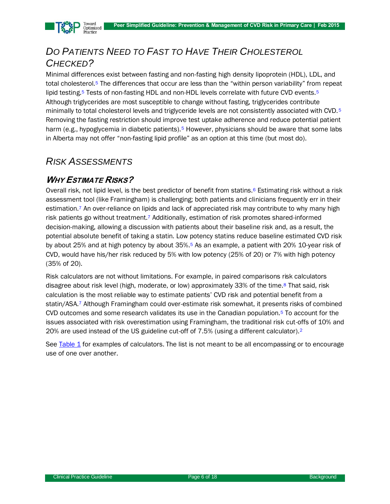

# *DO PATIENTS NEED TO FAST TO HAVE THEIR CHOLESTEROL CHECKED?*

Minimal differences exist between fasting and non-fasting high density lipoprotein (HDL), LDL, and total cholesterol.[5](#page-12-3) The differences that occur are less than the "within person variability" from repeat lipid testing.<sup>[5](#page-12-3)</sup> Tests of non-fasting HDL and non-HDL levels correlate with future CVD events.<sup>5</sup> Although triglycerides are most susceptible to change without fasting, triglycerides contribute minimally to total cholesterol levels and triglyceride levels are not consistently associated with CVD.[5](#page-12-3) Removing the fasting restriction should improve test uptake adherence and reduce potential patient harm (e.g., hypoglycemia in diabetic patients).<sup>[5](#page-12-3)</sup> However, physicians should be aware that some labs in Alberta may not offer "non-fasting lipid profile" as an option at this time (but most do).

## *RISK ASSESSMENTS*

### **WHY ESTIMATE RISKS?**

Overall risk, not lipid level, is the best predictor of benefit from statins.<sup>[6](#page-12-4)</sup> Estimating risk without a risk assessment tool (like Framingham) is challenging; both patients and clinicians frequently err in their estimation.<sup>[7](#page-12-5)</sup> An over-reliance on lipids and lack of appreciated risk may contribute to why many high risk patients go without treatmen[t.](#page-12-5)<sup>7</sup> Additionally, estimation of risk promotes shared-informed decision-making, allowing a discussion with patients about their baseline risk and, as a result, the potential absolute benefit of taking a statin. Low potency statins reduce baseline estimated CVD risk by about 25% and at high potency by about 35%.[5](#page-12-3) As an example, a patient with 20% 10-year risk of CVD, would have his/her risk reduced by 5% with low potency (25% of 20) or 7% with high potency (35% of 20).

Risk calculators are not without limitations. For example, in paired comparisons risk calculators disagree about risk level (high, moderate, or low) approximately 33% of the tim[e.](#page-12-6)<sup>8</sup> That said, risk calculation is the most reliable way to estimate patients' CVD risk and potential benefit from a statin/ASA.[7](#page-12-5) Although Framingham could over-estimate risk somewhat, it presents risks of combined CVD outcomes and some research validates its use in the Canadian population.[5](#page-12-3) To account for the issues associated with risk overestimation using Framingham, the traditional risk cut-offs of 10% and 20% are used instead of the US guideline cut-off of 7.5% (using a different calculator).[2](#page-12-7)

See [Table](#page-6-0) 1 for examples of calculators. The list is not meant to be all encompassing or to encourage use of one over another.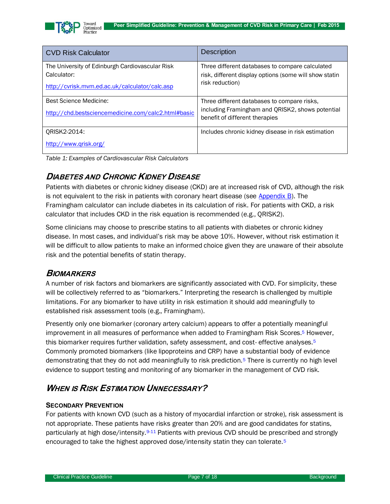

| <b>CVD Risk Calculator</b>                                     | <b>Description</b>                                                                                        |  |  |  |
|----------------------------------------------------------------|-----------------------------------------------------------------------------------------------------------|--|--|--|
| The University of Edinburgh Cardiovascular Risk<br>Calculator: | Three different databases to compare calculated<br>risk, different display options (some will show statin |  |  |  |
| http://cyrisk.mym.ed.ac.uk/calculator/calc.asp                 | risk reduction)                                                                                           |  |  |  |
| Best Science Medicine:                                         | Three different databases to compare risks.                                                               |  |  |  |
| http://chd.bestsciencemedicine.com/calc2.html#basic            | including Framingham and QRISK2, shows potential<br>benefit of different therapies                        |  |  |  |
| QRISK2-2014:                                                   | Includes chronic kidney disease in risk estimation                                                        |  |  |  |
| http://www.grisk.org/                                          |                                                                                                           |  |  |  |

<span id="page-6-0"></span>*Table 1: Examples of Cardiovascular Risk Calculators*

### **DIABETES AND CHRONIC KIDNEY DISEASE**

Patients with diabetes or chronic kidney disease (CKD) are at increased risk of CVD, although the risk is not equivalent to the risk in patients with coronary heart disease (see [Appendix B\)](#page-17-0). The Framingham calculator can include diabetes in its calculation of risk. For patients with CKD, a risk calculator that includes CKD in the risk equation is recommended (e.g., QRISK2).

Some clinicians may choose to prescribe statins to all patients with diabetes or chronic kidney disease. In most cases, and individual's risk may be above 10%. However, without risk estimation it will be difficult to allow patients to make an informed choice given they are unaware of their absolute risk and the potential benefits of statin therapy.

#### **BIOMARKERS**

A number of risk factors and biomarkers are significantly associated with CVD. For simplicity, these will be collectively referred to as "biomarkers." Interpreting the research is challenged by multiple limitations. For any biomarker to have utility in risk estimation it should add meaningfully to established risk assessment tools (e.g., Framingham).

Presently only one biomarker (coronary artery calcium) appears to offer a potentially meaningful improvement in all measures of performance when added to Framingham Risk Score[s.](#page-12-3)<sup>5</sup> However, this biomarker requires further validation, safety assessment, and cost- effective analyses.<sup>[5](#page-12-3)</sup> Commonly promoted biomarkers (like lipoproteins and CRP) have a substantial body of evidence demonstrating that they do not add meaningfully to risk prediction.[5](#page-12-3) There is currently no high level evidence to support testing and monitoring of any biomarker in the management of CVD risk.

## **WHEN IS RISK ESTIMATION UNNECESSARY?**

#### **SECONDARY PREVENTION**

For patients with known CVD (such as a history of myocardial infarction or stroke), risk assessment is not appropriate. These patients have risks greater than 20% and are good candidates for statins, particularly at high dose/intensity.<sup>[9](#page-12-8)[-11](#page-12-9)</sup> Patients with previous CVD should be prescribed and strongly encouraged to take the highest approved dose/intensity statin they can tolerate.[5](#page-12-3)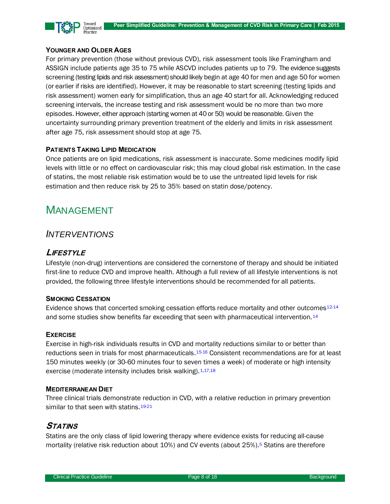

#### **YOUNGER AND OLDER AGES**

For primary prevention (those without previous CVD), risk assessment tools like Framingham and ASSIGN include patients age 35 to 75 while ASCVD includes patients up to 79. The evidence suggests screening (testing lipids and risk assessment) should likely begin at age 40 for men and age 50 for women (or earlier if risks are identified). However, it may be reasonable to start screening (testing lipids and risk assessment) women early for simplification, thus an age 40 start for all. Acknowledging reduced screening intervals, the increase testing and risk assessment would be no more than two more episodes. However, either approach (starting women at 40 or 50) would be reasonable. Given the uncertainty surrounding primary prevention treatment of the elderly and limits in risk assessment after age 75, risk assessment should stop at age 75.

#### **PATIENTS TAKING LIPID MEDICATION**

Once patients are on lipid medications, risk assessment is inaccurate. Some medicines modify lipid levels with little or no effect on cardiovascular risk; this may cloud global risk estimation. In the case of statins, the most reliable risk estimation would be to use the untreated lipid levels for risk estimation and then reduce risk by 25 to 35% based on statin dose/potency.

# MANAGEMENT

### *INTERVENTIONS*

#### **LIFESTYLE**

Lifestyle (non-drug) interventions are considered the cornerstone of therapy and should be initiated first-line to reduce CVD and improve health. Although a full review of all lifestyle interventions is not provided, the following three lifestyle interventions should be recommended for all patients.

#### **SMOKING CESSATION**

Evidence shows that concerted smoking cessation efforts reduce mortality and other outcomes<sup>[12](#page-12-10)[-14](#page-13-0)</sup> and some studies show benefits far exceeding that seen with pharmaceutical intervention.<sup>[14](#page-13-0)</sup>

#### **EXERCISE**

Exercise in high-risk individuals results in CVD and mortality reductions similar to or better than reductions seen in trials for most pharmaceuticals.<sup>[15-](#page-13-1)[16](#page-13-2)</sup> Consistent recommendations are for at least 150 minutes weekly (or 30-60 minutes four to seven times a week) of moderate or high intensity exercise (moderate intensity includes brisk walking). [1](#page-12-0)[,17](#page-13-3)[,18](#page-13-4)

#### **MEDITERRANEAN DIET**

Three clinical trials demonstrate reduction in CVD, with a relative reduction in primary prevention similar to that seen with statins.<sup>[19-](#page-13-5)[21](#page-13-6)</sup>

#### **STATINS**

Statins are the only class of lipid lowering therapy where evidence exists for reducing all-cause mortality (relative risk reduction about 10%) and CV events (about 25%[\).](#page-12-3)<sup>5</sup> Statins are therefore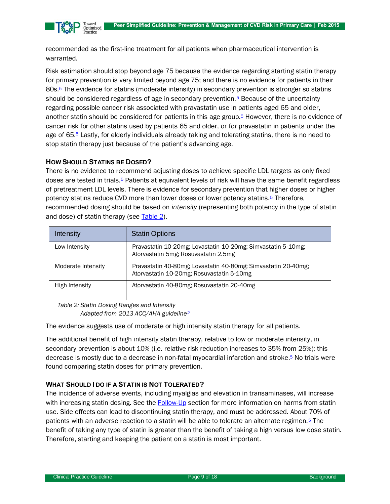

recommended as the first-line treatment for all patients when pharmaceutical intervention is warranted.

Risk estimation should stop beyond age 75 because the evidence regarding starting statin therapy for primary prevention is very limited beyond age 75; and there is no evidence for patients in their 80s.[5](#page-12-3) The evidence for statins (moderate intensity) in secondary prevention is stronger so statins should be considered regardless of age in secondary prevention.<sup>[5](#page-12-3)</sup> Because of the uncertainty regarding possible cancer risk associated with pravastatin use in patients aged 65 and older, another statin should be considered for patients in this age group. [5](#page-12-3) However, there is no evidence of cancer risk for other statins used by patients 65 and older, or for pravastatin in patients under the age of 65.[5](#page-12-3) Lastly, for elderly individuals already taking and tolerating statins, there is no need to stop statin therapy just because of the patient's advancing age.

#### **HOW SHOULD STATINS BE DOSED?**

There is no evidence to recommend adjusting doses to achieve specific LDL targets as only fixed doses are tested in trials.[5](#page-12-3) Patients at equivalent levels of risk will have the same benefit regardless of pretreatment LDL levels. There is evidence for secondary prevention that higher doses or higher potency statins reduce CVD more than lower doses or lower potency statins.[5](#page-12-3) Therefore, recommended dosing should be based on *intensity* (representing both potency in the type of statin and dose) of statin therapy (see [Table 2\)](#page-8-0).

| Intensity          | <b>Statin Options</b>                                                                                      |
|--------------------|------------------------------------------------------------------------------------------------------------|
| Low Intensity      | Pravastatin 10-20mg; Lovastatin 10-20mg; Simvastatin 5-10mg;<br>Atorvastatin 5mg; Rosuvastatin 2.5mg       |
| Moderate Intensity | Pravastatin 40-80mg; Lovastatin 40-80mg; Simvastatin 20-40mg;<br>Atorvastatin 10-20mg; Rosuvastatin 5-10mg |
| High Intensity     | Atorvastatin 40-80mg; Rosuvastatin 20-40mg                                                                 |

<span id="page-8-0"></span>*Table 2: Statin Dosing Ranges and Intensity Adapted from 2013 ACC/AHA guidelin[e](#page-12-7)<sup>2</sup>*

The evidence suggests use of moderate or high intensity statin therapy for all patients.

The additional benefit of high intensity statin therapy, relative to low or moderate intensity, in secondary prevention is about 10% (i.e. relative risk reduction increases to 35% from 25%); this decrease is mostly due to a decrease in non-fatal myocardial infarction and strok[e.](#page-12-3)<sup>5</sup> No trials were found comparing statin doses for primary prevention.

#### **WHAT SHOULD I DO IF A STATIN IS NOT TOLERATED?**

The incidence of adverse events, including myalgias and elevation in transaminases, will increase with increasing statin dosing. See the [Follow-Up](#page-9-0) section for more information on harms from statin use. Side effects can lead to discontinuing statin therapy, and must be addressed. About 70% of patients with an adverse reaction to a statin will be able to tolerate an alternate regimen.[5](#page-12-3) The benefit of taking any type of statin is greater than the benefit of taking a high versus low dose statin. Therefore, starting and keeping the patient on a statin is most important.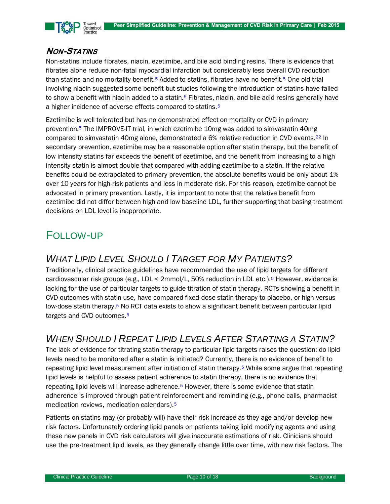

### **NON-STATINS**

Non-statins include fibrates, niacin, ezetimibe, and bile acid binding resins. There is evidence that fibrates alone reduce non-fatal myocardial infarction but considerably less overall CVD reduction than statins and no mortality benefit.<sup>[5](#page-12-3)</sup> Added to statins, fibrates have no benefit.<sup>5</sup> One old trial involving niacin suggested some benefit but studies following the introduction of statins have failed to show a benefit with niacin added to a statin.<sup>[5](#page-12-3)</sup> Fibrates, niacin, and bile acid resins generally have a higher incidence of adverse effects compared to statins.<sup>[5](#page-12-3)</sup>

Ezetimibe is well tolerated but has no demonstrated effect on mortality or CVD in primary prevention.[5](#page-12-3) The IMPROVE-IT trial, in which ezetimibe 10mg was added to simvastatin 40mg compared to simvastatin 40mg alone, demonstrated a 6% relative reduction in CVD events.[22](#page-13-7) In secondary prevention, ezetimibe may be a reasonable option after statin therapy, but the benefit of low intensity statins far exceeds the benefit of ezetimibe, and the benefit from increasing to a high intensity statin is almost double that compared with adding ezetimibe to a statin. If the relative benefits could be extrapolated to primary prevention, the absolute benefits would be only about 1% over 10 years for high-risk patients and less in moderate risk. For this reason, ezetimibe cannot be advocated in primary prevention. Lastly, it is important to note that the relative benefit from ezetimibe did not differ between high and low baseline LDL, further supporting that basing treatment decisions on LDL level is inappropriate.

# <span id="page-9-0"></span>FOLLOW-UP

## *WHAT LIPID LEVEL SHOULD I TARGET FOR MY PATIENTS?*

Traditionally, clinical practice guidelines have recommended the use of lipid targets for different cardiovascular risk groups (e.g., LDL < 2mmol/L, 50% reduction in LDL etc.).[5](#page-12-3) However, evidence is lacking for the use of particular targets to guide titration of statin therapy. RCTs showing a benefit in CVD outcomes with statin use, have compared fixed-dose statin therapy to placebo, or high-versus low-dose statin therapy.<sup>[5](#page-12-3)</sup> No RCT data exists to show a significant benefit between particular lipid targets and CVD outcomes.<sup>[5](#page-12-3)</sup>

## *WHEN SHOULD I REPEAT LIPID LEVELS AFTER STARTING A STATIN?*

The lack of evidence for titrating statin therapy to particular lipid targets raises the question: do lipid levels need to be monitored after a statin is initiated? Currently, there is no evidence of benefit to repeating lipid level measurement after initiation of statin therapy.[5](#page-12-3) While some argue that repeating lipid levels is helpful to assess patient adherence to statin therapy, there is no evidence that repeating lipid levels will increase adherence.<sup>[5](#page-12-3)</sup> However, there is some evidence that statin adherence is improved through patient reinforcement and reminding (e.g., phone calls, pharmacist medication reviews, medication calendars).[5](#page-12-3)

Patients on statins may (or probably will) have their risk increase as they age and/or develop new risk factors. Unfortunately ordering lipid panels on patients taking lipid modifying agents and using these new panels in CVD risk calculators will give inaccurate estimations of risk. Clinicians should use the pre-treatment lipid levels, as they generally change little over time, with new risk factors. The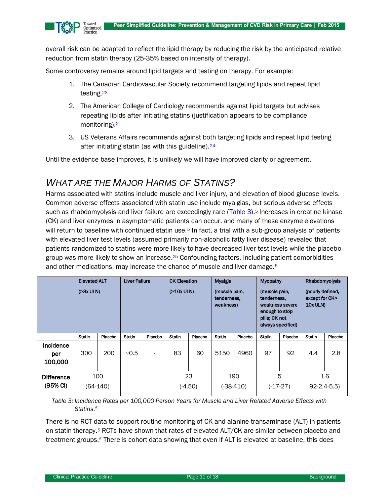

overall risk can be adapted to reflect the lipid therapy by reducing the risk by the anticipated relative reduction from statin therapy (25-35% based on intensity of therapy).

Some controversy remains around lipid targets and testing on therapy. For example:

- 1. The Canadian Cardiovascular Society recommend targeting lipids and repeat lipid testing [23](#page-13-8)
- 2. The American College of Cardiology recommends against lipid targets but advises repeating lipids after initiating statins (justification appears to be compliance monitoring).[2](#page-12-7)
- 3. US Veterans Affairs recommends against both targeting lipids and repeat lipid testing after initiating statin (as with this guideline).<sup>[24](#page-13-9)</sup>

Until the evidence base improves, it is unlikely we will have improved clarity or agreement.

## *WHAT ARE THE MAJOR HARMS OF STATINS?*

Harms associated with statins include muscle and liver injury, and elevation of blood glucose levels. Common adverse effects associated with statin use include myalgias, but serious adverse effects such as rhabdomyolysis and liver failure are exceedingly rare [\(Table 3\)](#page-10-0).<sup>[5](#page-12-3)</sup> Increases in creatine kinase (CK) and liver enzymes in asymptomatic patients can occur, and many of these enzyme elevations will return to baseline with continued statin use.<sup>[5](#page-12-3)</sup> In fact, a trial with a sub-group analysis of patients with elevated liver test levels (assumed primarily non-alcoholic fatty liver disease) revealed that patients randomized to statins were more likely to have decreased liver test levels while the placebo group was more likely to show an increase.<sup>[25](#page-13-10)</sup> Confounding factors, including patient comorbidities and other medications, may increase the chance of muscle and liver damage.<sup>[5](#page-12-3)</sup>

|                                           | <b>Elevated ALT</b><br>$( > 3x$ ULN) |         | <b>Liver Failure</b> |                          | <b>CK Elevation</b><br>(210x ULN) |         | Myalgia<br>(muscle pain,<br>tenderness,<br>weakness) |         | Myopathy<br>(muscle pain,<br>tenderness,<br>weakness severe<br>enough to stop<br>pills; CK not<br>always specified) |         | Rhabdomyolysis<br>(poorly defined,<br>except for CK><br>10x ULN) |         |
|-------------------------------------------|--------------------------------------|---------|----------------------|--------------------------|-----------------------------------|---------|------------------------------------------------------|---------|---------------------------------------------------------------------------------------------------------------------|---------|------------------------------------------------------------------|---------|
|                                           | <b>Statin</b>                        | Placebo | Statin               | Placebo                  | <b>Statin</b>                     | Placebo | <b>Statin</b>                                        | Placebo | <b>Statin</b>                                                                                                       | Placebo | <b>Statin</b>                                                    | Placebo |
| Incidence<br>per<br>100,000               | 300                                  | 200     | ~10.5                | $\overline{\phantom{0}}$ | 83                                | 60      | 5150                                                 | 4960    | 97                                                                                                                  | 92      | 4.4                                                              | 2.8     |
| <b>Difference</b><br>$(95% \, \text{Cl})$ | 100<br>$(64-140)$                    |         |                      |                          | 23<br>$(-4.50)$                   |         | 190<br>(-38-410)                                     |         | 5<br>$(-17-27)$                                                                                                     |         | 1.6<br>$92 - 2.4 - 5.5$                                          |         |

<span id="page-10-0"></span>*Table 3: Incidence Rates per 100,000 Person Years for Muscle and Liver Related Adverse Effects with Statins. [5](#page-12-3)*

There is no RCT data to support routine monitoring of CK and alanine transaminase (ALT) in patients on statin therapy.*[5](#page-12-3)* RCTs have shown that rates of elevated ALT/CK are similar between placebo and treatment groups.*[5](#page-12-3)* There is cohort data showing that even if ALT is elevated at baseline, this does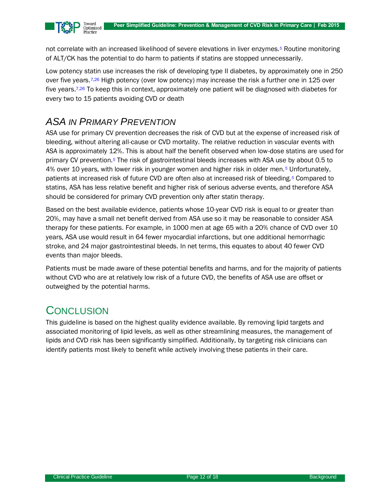

not correlate with an increased likelihood of severe elevations in liver enzyme[s.](#page-12-3)*<sup>5</sup>* Routine monitoring of ALT/CK has the potential to do harm to patients if statins are stopped unnecessarily.

Low potency statin use increases the risk of developing type II diabetes, by approximately one in 250 over five years.<sup>[7,](#page-12-5)[26](#page-13-11)</sup> High potency (over low potency) may increase the risk a further one in 125 over five years.[7](#page-12-5)[,26](#page-13-11) To keep this in context, approximately one patient will be diagnosed with diabetes for every two to 15 patients avoiding CVD or death

## *ASA IN PRIMARY PREVENTION*

ASA use for primary CV prevention decreases the risk of CVD but at the expense of increased risk of bleeding, without altering all-cause or CVD mortality. The relative reduction in vascular events with ASA is approximately 12%. This is about half the benefit observed when low-dose statins are used for primary CV prevention.*[5](#page-12-3)* The risk of gastrointestinal bleeds increases with ASA use by about 0.5 to 4% over 10 years, with lower risk in younger women and higher risk in older men.*[5](#page-12-3)* Unfortunately, patients at increased risk of future CVD are often also at increased risk of bleeding.*[5](#page-12-3)* Compared to statins, ASA has less relative benefit and higher risk of serious adverse events, and therefore ASA should be considered for primary CVD prevention only after statin therapy.

Based on the best available evidence, patients whose 10-year CVD risk is equal to or greater than 20%, may have a small net benefit derived from ASA use so it may be reasonable to consider ASA therapy for these patients. For example, in 1000 men at age 65 with a 20% chance of CVD over 10 years, ASA use would result in 64 fewer myocardial infarctions, but one additional hemorrhagic stroke, and 24 major gastrointestinal bleeds. In net terms, this equates to about 40 fewer CVD events than major bleeds.

Patients must be made aware of these potential benefits and harms, and for the majority of patients without CVD who are at relatively low risk of a future CVD, the benefits of ASA use are offset or outweighed by the potential harms.

# **CONCLUSION**

This guideline is based on the highest quality evidence available. By removing lipid targets and associated monitoring of lipid levels, as well as other streamlining measures, the management of lipids and CVD risk has been significantly simplified. Additionally, by targeting risk clinicians can identify patients most likely to benefit while actively involving these patients in their care.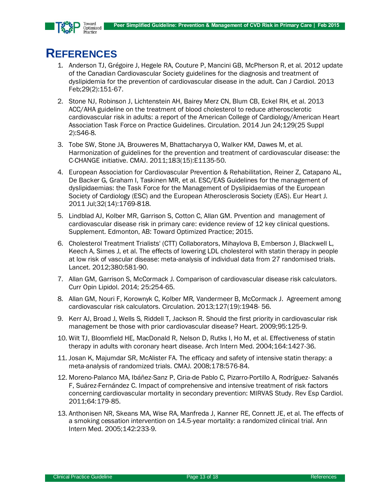

# **REFERENCES**

- <span id="page-12-0"></span>1. Anderson TJ, Grégoire J, Hegele RA, Couture P, Mancini GB, McPherson R, et al. 2012 update of the Canadian Cardiovascular Society guidelines for the diagnosis and treatment of dyslipidemia for the prevention of cardiovascular disease in the adult. Can J Cardiol. 2013 Feb;29(2):151-67.
- <span id="page-12-7"></span>2. Stone NJ, Robinson J, Lichtenstein AH, Bairey Merz CN, Blum CB, Eckel RH, et al. 2013 ACC/AHA guideline on the treatment of blood cholesterol to reduce atherosclerotic cardiovascular risk in adults: a report of the American College of Cardiology/American Heart Association Task Force on Practice Guidelines. Circulation. 2014 Jun 24;129(25 Suppl 2):S46-8.
- <span id="page-12-1"></span>3. Tobe SW, Stone JA, Brouweres M, Bhattacharyya O, Walker KM, Dawes M, et al. Harmonization of guidelines for the prevention and treatment of cardiovascular disease: the C-CHANGE initiative. CMAJ. 2011;183(15):E1135-50.
- <span id="page-12-2"></span>4. [European Association for Cardiovascular Prevention & Rehabilitation,](http://www.ncbi.nlm.nih.gov/pubmed?term=European%20Association%20for%20Cardiovascular%20Prevention%20%26%20Rehabilitation%5BCorporate%20Author%5D) [Reiner Z,](http://www.ncbi.nlm.nih.gov/pubmed?term=Reiner%20Z%5BAuthor%5D&cauthor=true&cauthor_uid=21712404) [Catapano AL,](http://www.ncbi.nlm.nih.gov/pubmed?term=Catapano%20AL%5BAuthor%5D&cauthor=true&cauthor_uid=21712404) [De Backer G,](http://www.ncbi.nlm.nih.gov/pubmed?term=De%20Backer%20G%5BAuthor%5D&cauthor=true&cauthor_uid=21712404) [Graham I,](http://www.ncbi.nlm.nih.gov/pubmed?term=Graham%20I%5BAuthor%5D&cauthor=true&cauthor_uid=21712404) [Taskinen MR,](http://www.ncbi.nlm.nih.gov/pubmed?term=Taskinen%20MR%5BAuthor%5D&cauthor=true&cauthor_uid=21712404) et al. ESC/EAS Guidelines for the management of dyslipidaemias: the Task Force for the Management of Dyslipidaemias of the European Society of Cardiology (ESC) and the European Atherosclerosis Society (EAS). Eur Heart J. 2011 Jul;32(14):1769-818.
- <span id="page-12-3"></span>5. Lindblad AJ, Kolber MR, Garrison S, Cotton C, Allan GM. Prvention and management of cardiovascular disease risk in primary care: evidence review of 12 key clinical questions. Supplement. Edmonton, AB: Toward Optimized Practice; 2015.
- <span id="page-12-4"></span>6. Cholesterol Treatment Trialists' (CTT) Collaborators, Mihaylova B, Emberson J, Blackwell L, Keech A, Simes J, et al. The effects of lowering LDL cholesterol with statin therapy in people at low risk of vascular disease: meta-analysis of individual data from 27 randomised trials. Lancet. 2012;380:581-90.
- <span id="page-12-5"></span>7. Allan GM, Garrison S, McCormack J. Comparison of cardiovascular disease risk calculators. Curr Opin Lipidol. 2014; 25:254-65.
- <span id="page-12-6"></span>8. Allan GM, Nouri F, Korownyk C, Kolber MR, Vandermeer B, McCormack J. Agreement among cardiovascular risk calculators. Circulation. 2013;127(19):1948- 56.
- <span id="page-12-8"></span>9. Kerr AJ, Broad J, Wells S, Riddell T, Jackson R. Should the first priority in cardiovascular risk management be those with prior cardiovascular disease? Heart. 2009;95:125-9.
- 10. Wilt TJ, Bloomfield HE, MacDonald R, Nelson D, Rutks I, Ho M, et al. Effectiveness of statin therapy in adults with coronary heart disease. Arch Intern Med. 2004;164:1427-36.
- <span id="page-12-9"></span>11. Josan K, Majumdar SR, McAlister FA. The efficacy and safety of intensive statin therapy: a meta-analysis of randomized trials. CMAJ. 2008;178:576-84.
- <span id="page-12-10"></span>12. Moreno-Palanco MA, Ibáñez-Sanz P, Ciria-de Pablo C, Pizarro-Portillo A, Rodríguez- Salvanés F, Suárez-Fernández C. Impact of comprehensive and intensive treatment of risk factors concerning cardiovascular mortality in secondary prevention: MIRVAS Study. Rev Esp Cardiol. 2011;64:179-85.
- 13. Anthonisen NR, Skeans MA, Wise RA, Manfreda J, Kanner RE, Connett JE, et al. The effects of a smoking cessation intervention on 14.5-year mortality: a randomized clinical trial. Ann Intern Med. 2005;142:233-9.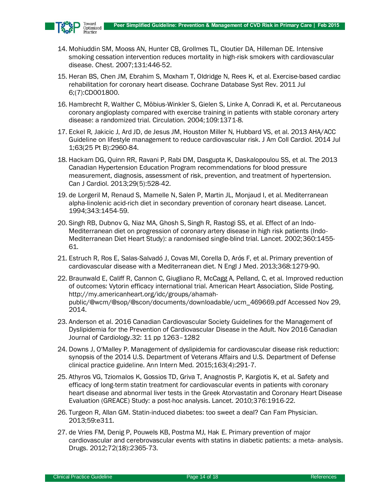

- <span id="page-13-0"></span>14. Mohiuddin SM, Mooss AN, Hunter CB, Grollmes TL, Cloutier DA, Hilleman DE. Intensive smoking cessation intervention reduces mortality in high-risk smokers with cardiovascular disease. Chest. 2007;131:446-52.
- <span id="page-13-1"></span>15. Heran BS, Chen JM, Ebrahim S, Moxham T, Oldridge N, Rees K, et al. Exercise-based cardiac rehabilitation for coronary heart disease. Cochrane Database Syst Rev. 2011 Jul 6;(7):CD001800.
- <span id="page-13-2"></span>16. Hambrecht R, Walther C, Möbius-Winkler S, Gielen S, Linke A, Conradi K, et al. Percutaneous coronary angioplasty compared with exercise training in patients with stable coronary artery disease: a randomized trial. Circulation. 2004;109:1371-8.
- <span id="page-13-3"></span>17. Eckel R, Jakicic J, Ard JD, de Jesus JM, Houston Miller N, Hubbard VS, et al. 2013 AHA/ACC Guideline on lifestyle management to reduce cardiovascular risk. J Am Coll Cardiol. 2014 Jul 1;63(25 Pt B):2960-84.
- <span id="page-13-4"></span>18. Hackam DG, Quinn RR, Ravani P, Rabi DM, Dasgupta K, Daskalopoulou SS, et al. The 2013 Canadian Hypertension Education Program recommendations for blood pressure measurement, diagnosis, assessment of risk, prevention, and treatment of hypertension. Can J Cardiol. 2013;29(5):528-42.
- <span id="page-13-5"></span>19. de Lorgeril M, Renaud S, Mamelle N, Salen P, Martin JL, Monjaud I, et al. Mediterranean alpha-linolenic acid-rich diet in secondary prevention of coronary heart disease. Lancet. 1994;343:1454-59.
- 20. Singh RB, Dubnov G, Niaz MA, Ghosh S, Singh R, Rastogi SS, et al. Effect of an Indo-Mediterranean diet on progression of coronary artery disease in high risk patients (Indo-Mediterranean Diet Heart Study): a randomised single-blind trial. Lancet. 2002;360:1455- 61.
- <span id="page-13-6"></span>21. Estruch R, Ros E, Salas-Salvadó J, Covas MI, Corella D, Arós F, et al. Primary prevention of cardiovascular disease with a Mediterranean diet. N Engl J Med. 2013;368:1279-90.
- <span id="page-13-7"></span>22. Braunwald E, Califf R, Cannon C, Giugliano R, McCagg A, Pelland, C, et al. Improved reduction of outcomes: Vytorin efficacy international trial. American Heart Association, Slide Posting. http://my.americanheart.org/idc/groups/ahamahpublic/@wcm/@sop/@scon/documents/downloadable/ucm\_469669.pdf Accessed Nov 29, 2014.
- <span id="page-13-8"></span>23. Anderson et al. 2016 Canadian Cardiovascular Society Guidelines for the Management of Dyslipidemia for the Prevention of Cardiovascular Disease in the Adult. Nov 2016 Canadian Journal of Cardiology.32: 11 pp 1263–1282
- <span id="page-13-9"></span>24. Downs J, O'Malley P. Management of dyslipidemia for cardiovascular disease risk reduction: synopsis of the 2014 U.S. Department of Veterans Affairs and U.S. Department of Defense clinical practice guideline. Ann Intern Med. 2015;163(4):291-7.
- <span id="page-13-10"></span>25. Athyros VG, Tziomalos K, Gossios TD, Griva T, Anagnostis P, Kargiotis K, et al. Safety and efficacy of long-term statin treatment for cardiovascular events in patients with coronary heart disease and abnormal liver tests in the Greek Atorvastatin and Coronary Heart Disease Evaluation (GREACE) Study: a post-hoc analysis. Lancet. 2010;376:1916-22.
- <span id="page-13-11"></span>26. Turgeon R, Allan GM. Statin-induced diabetes: too sweet a deal? Can Fam Physician. 2013;59:e311.
- <span id="page-13-12"></span>27. de Vries FM, Denig P, Pouwels KB, Postma MJ, Hak E. Primary prevention of major cardiovascular and cerebrovascular events with statins in diabetic patients: a meta- analysis. Drugs. 2012;72(18):2365-73.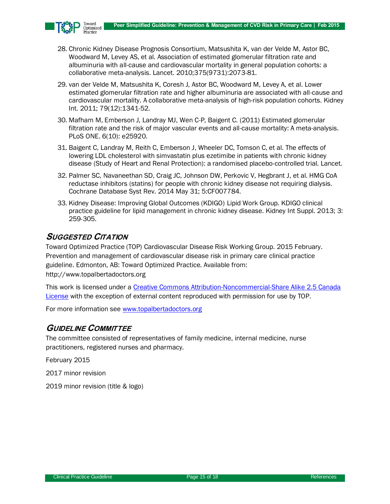

- <span id="page-14-0"></span>28. Chronic Kidney Disease Prognosis Consortium, Matsushita K, van der Velde M, Astor BC, Woodward M, Levey AS, et al. Association of estimated glomerular filtration rate and albuminuria with all-cause and cardiovascular mortality in general population cohorts: a collaborative meta-analysis. Lancet. 2010;375(9731):2073-81.
- 29. van der Velde M, Matsushita K, Coresh J, Astor BC, Woodward M, Levey A, et al. Lower estimated glomerular filtration rate and higher albuminuria are associated with all-cause and cardiovascular mortality. A collaborative meta-analysis of high-risk population cohorts. Kidney Int. 2011; 79(12):1341-52.
- <span id="page-14-1"></span>30. Mafham M, Emberson J, Landray MJ, Wen C-P, Baigent C. (2011) Estimated glomerular filtration rate and the risk of major vascular events and all-cause mortality: A meta-analysis. PLoS ONE. 6(10): e25920.
- <span id="page-14-2"></span>31. Baigent C, Landray M, Reith C, Emberson J, Wheeler DC, Tomson C, et al. The effects of lowering LDL cholesterol with simvastatin plus ezetimibe in patients with chronic kidney disease (Study of Heart and Renal Protection): a randomised placebo-controlled trial. Lancet.
- <span id="page-14-3"></span>32. Palmer SC, Navaneethan SD, Craig JC, Johnson DW, Perkovic V, Hegbrant J, et al. HMG CoA reductase inhibitors (statins) for people with chronic kidney disease not requiring dialysis. Cochrane Database Syst Rev. 2014 May 31; 5:CF007784.
- <span id="page-14-4"></span>33. Kidney Disease: Improving Global Outcomes (KDIGO) Lipid Work Group. KDIGO clinical practice guideline for lipid management in chronic kidney disease. Kidney Int Suppl. 2013; 3: 259-305.

### **SUGGESTED CITATION**

Toward Optimized Practice (TOP) Cardiovascular Disease Risk Working Group. 2015 February. Prevention and management of cardiovascular disease risk in primary care clinical practice guideline. Edmonton, AB: Toward Optimized Practice. Available from: http://www.topalbertadoctors.org

This work is licensed under a [Creative Commons Attribution-Noncommercial-Share Alike 2.5 Canada](http://creativecommons.org/licenses/by-nc-sa/2.5/ca/legalcode.en)  [License](http://creativecommons.org/licenses/by-nc-sa/2.5/ca/legalcode.en) with the exception of external content reproduced with permission for use by TOP.

For more information see [www.topalbertadoctors.org](http://www.topalbertadoctors.org/)

### **GUIDELINE COMMITTEE**

The committee consisted of representatives of family medicine, internal medicine, nurse practitioners, registered nurses and pharmacy.

February 2015

2017 minor revision

2019 minor revision (title & logo)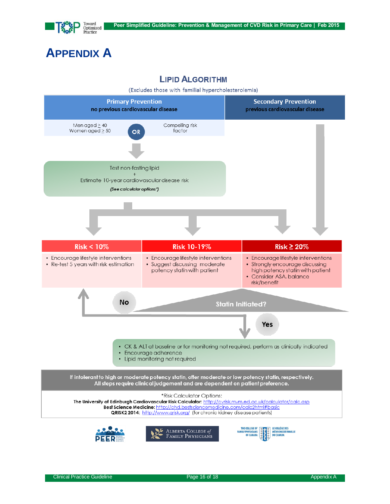

# <span id="page-15-0"></span>**APPENDIX A**

### **LIPID ALGORITHM**

(Excludes those with familial hypercholesterolemia)

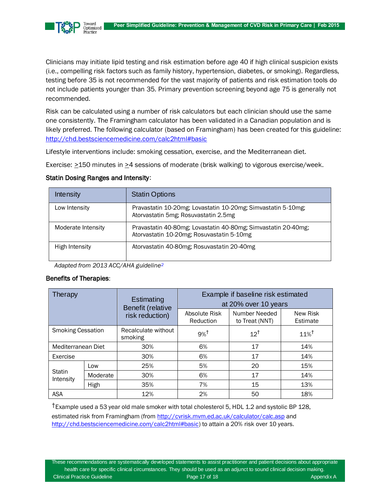

Clinicians may initiate lipid testing and risk estimation before age 40 if high clinical suspicion exists (i.e., compelling risk factors such as family history, hypertension, diabetes, or smoking). Regardless, testing before 35 is not recommended for the vast majority of patients and risk estimation tools do not include patients younger than 35. Primary prevention screening beyond age 75 is generally not recommended.

Risk can be calculated using a number of risk calculators but each clinician should use the same one consistently. The Framingham calculator has been validated in a Canadian population and is likely preferred. The following calculator (based on Framingham) has been created for this guideline: <http://chd.bestsciencemedicine.com/calc2html#basic>

Lifestyle interventions include: smoking cessation, exercise, and the Mediterranean diet.

Exercise:  $\geq$ 150 minutes in  $\geq$ 4 sessions of moderate (brisk walking) to vigorous exercise/week.

| Intensity          | <b>Statin Options</b>                                                                                      |
|--------------------|------------------------------------------------------------------------------------------------------------|
| Low Intensity      | Pravastatin 10-20mg; Lovastatin 10-20mg; Simvastatin 5-10mg;<br>Atorvastatin 5mg; Rosuvastatin 2.5mg       |
| Moderate Intensity | Pravastatin 40-80mg; Lovastatin 40-80mg; Simvastatin 20-40mg;<br>Atorvastatin 10-20mg; Rosuvastatin 5-10mg |
| High Intensity     | Atorvastatin 40-80mg; Rosuvastatin 20-40mg                                                                 |

#### Statin Dosing Ranges and Intensity:

*Adapted from 2013 ACC/AHA guidelin[e](#page-12-7)<sup>2</sup>*

#### Benefits of Therapies:

| Therapy                  |          | Estimating<br>Benefit (relative | Example if baseline risk estimated<br>at 20% over 10 years |                                 |                      |  |  |
|--------------------------|----------|---------------------------------|------------------------------------------------------------|---------------------------------|----------------------|--|--|
|                          |          | risk reduction)                 | Absolute Risk<br>Reduction                                 | Number Needed<br>to Treat (NNT) | New Risk<br>Estimate |  |  |
| <b>Smoking Cessation</b> |          | Recalculate without<br>smoking  | $9\%$ <sup>†</sup>                                         | $12^{\dagger}$                  | $11\%$ <sup>†</sup>  |  |  |
| Mediterranean Diet       |          | 30%                             | 6%                                                         | 17                              | 14%                  |  |  |
| Exercise                 |          | 30%                             | 6%                                                         | 17                              | 14%                  |  |  |
| Statin<br>Intensity      | Low      | 25%                             | 5%                                                         | 20                              | 15%                  |  |  |
|                          | Moderate | 30%                             | 6%                                                         | 17                              | 14%                  |  |  |
|                          | High     | 35%                             | 7%                                                         | 15                              | 13%                  |  |  |
| <b>ASA</b>               |          | 12%                             | 2%                                                         | 50                              | 18%                  |  |  |

†Example used a 53 year old male smoker with total cholesterol 5, HDL 1.2 and systolic BP 128, estimated risk from Framingham (fro[m http://cvrisk.mvm.ed.ac.uk/calculator/calc.asp](http://cvrisk.mvm.ed.ac.uk/calculator/calc.asp) and [http://chd.bestsciencemedicine.com/calc2html#basic\)](http://chd.bestsciencemedicine.com/calc2html#basic) to attain a 20% risk over 10 years.

These recommendations are systematically developed statements to assist practitioner and patient decisions about appropriate health care for specific clinical circumstances. They should be used as an adjunct to sound clinical decision making. Clinical Practice Guideline **Page 17 of 18** Appendix A Appendix A